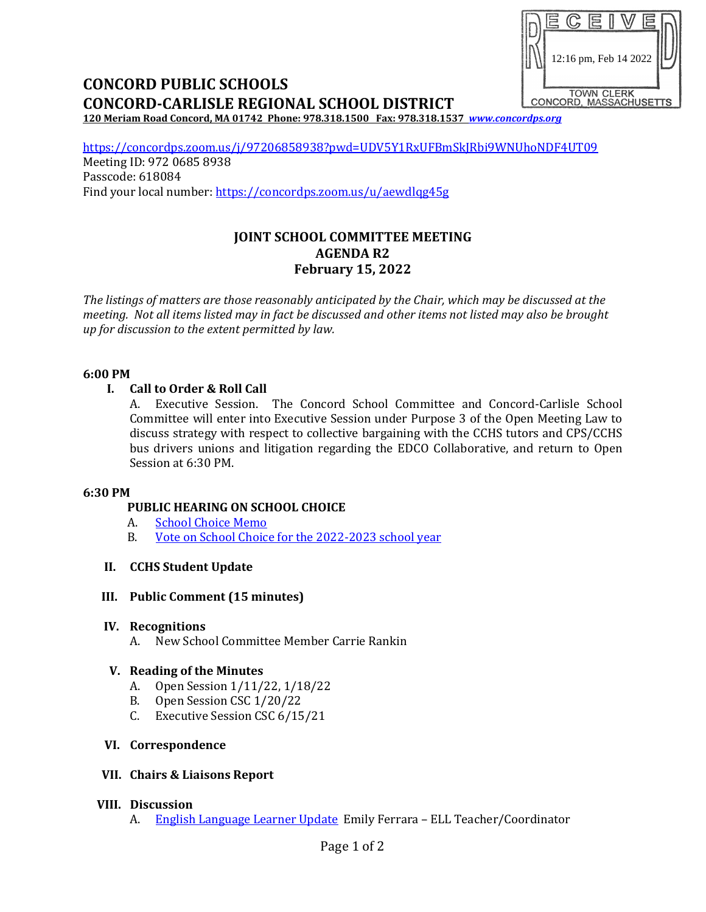# 12:16 pm, Feb 14 2022TOWN CLERK<br>CONCORD, MASSACHUSETTS

# **CONCORD PUBLIC SCHOOLS CONCORD-CARLISLE REGIONAL SCHOOL DISTRICT**

**120 Meriam Road Concord, MA 01742 Phone: 978.318.1500 Fax: 978.318.1537** *[www.concordps.org](http://www.concordps.org/)*

<https://concordps.zoom.us/j/97206858938?pwd=UDV5Y1RxUFBmSkJRbi9WNUhoNDF4UT09> Meeting ID: 972 0685 8938 Passcode: 618084 Find your local number:<https://concordps.zoom.us/u/aewdlqg45g>

# **JOINT SCHOOL COMMITTEE MEETING AGENDA R2 February 15, 2022**

*The listings of matters are those reasonably anticipated by the Chair, which may be discussed at the meeting. Not all items listed may in fact be discussed and other items not listed may also be brought up for discussion to the extent permitted by law.*

#### **6:00 PM**

# **I. Call to Order & Roll Call**

A. Executive Session. The Concord School Committee and Concord-Carlisle School Committee will enter into Executive Session under Purpose 3 of the Open Meeting Law to discuss strategy with respect to collective bargaining with the CCHS tutors and CPS/CCHS bus drivers unions and litigation regarding the EDCO Collaborative, and return to Open Session at 6:30 PM.

#### **6:30 PM**

# **PUBLIC HEARING ON SCHOOL CHOICE**

- A. [School Choice Memo](https://www.concordps.org/wp-content/uploads/2022/02/School-Choice-2022-2023.pdf)
- B. [Vote on School Choice for the 2022-2023 school year](https://www.concordps.org/wp-content/uploads/2022/02/School-Choice-Vote.pdf)

# **II. CCHS Student Update**

# **III. Public Comment (15 minutes)**

# **IV. Recognitions**

A. New School Committee Member Carrie Rankin

# **V. Reading of the Minutes**

- A. Open Session 1/11/22, 1/18/22
- B. Open Session CSC 1/20/22
- C. Executive Session CSC 6/15/21

# **VI. Correspondence**

# **VII. Chairs & Liaisons Report**

# **VIII. Discussion**

A. [English Language Learner](https://www.concordps.org/wp-content/uploads/2022/02/English-Learners-in-Concord-2021-22.pdf) Update Emily Ferrara – ELL Teacher/Coordinator